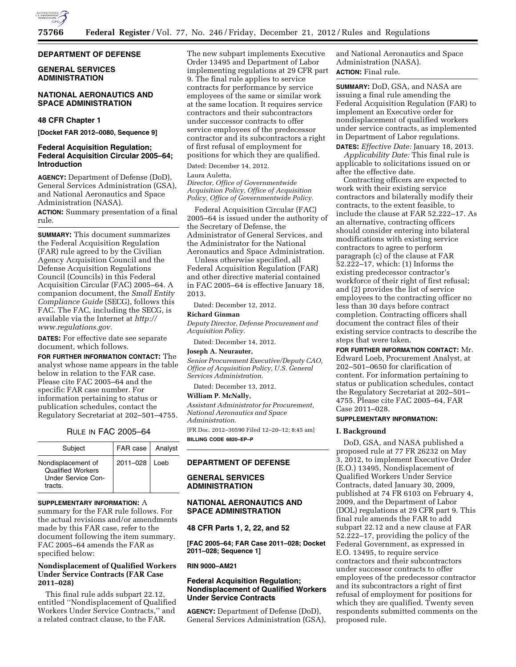

# **DEPARTMENT OF DEFENSE**

# **GENERAL SERVICES ADMINISTRATION**

# **NATIONAL AERONAUTICS AND SPACE ADMINISTRATION**

# **48 CFR Chapter 1**

**[Docket FAR 2012–0080, Sequence 9]** 

## **Federal Acquisition Regulation; Federal Acquisition Circular 2005–64; Introduction**

**AGENCY:** Department of Defense (DoD), General Services Administration (GSA), and National Aeronautics and Space Administration (NASA).

**ACTION:** Summary presentation of a final rule.

**SUMMARY:** This document summarizes the Federal Acquisition Regulation (FAR) rule agreed to by the Civilian Agency Acquisition Council and the Defense Acquisition Regulations Council (Councils) in this Federal Acquisition Circular (FAC) 2005–64. A companion document, the *Small Entity Compliance Guide* (SECG), follows this FAC. The FAC, including the SECG, is available via the Internet at *[http://](http://www.regulations.gov) [www.regulations.gov.](http://www.regulations.gov)* 

**DATES:** For effective date see separate document, which follows.

**FOR FURTHER INFORMATION CONTACT:** The analyst whose name appears in the table below in relation to the FAR case. Please cite FAC 2005–64 and the specific FAR case number. For information pertaining to status or publication schedules, contact the Regulatory Secretariat at 202–501–4755.

## RULE IN FAC 2005–64

| Subject                                                                         | FAR case | Analyst |
|---------------------------------------------------------------------------------|----------|---------|
| Nondisplacement of<br><b>Qualified Workers</b><br>Under Service Con-<br>tracts. | 2011-028 | Loeb    |

### **SUPPLEMENTARY INFORMATION:** A

summary for the FAR rule follows. For the actual revisions and/or amendments made by this FAR case, refer to the document following the item summary. FAC 2005–64 amends the FAR as specified below:

# **Nondisplacement of Qualified Workers Under Service Contracts (FAR Case 2011–028)**

This final rule adds subpart 22.12, entitled ''Nondisplacement of Qualified Workers Under Service Contracts,'' and a related contract clause, to the FAR.

The new subpart implements Executive Order 13495 and Department of Labor implementing regulations at 29 CFR part 9. The final rule applies to service contracts for performance by service employees of the same or similar work at the same location. It requires service contractors and their subcontractors under successor contracts to offer service employees of the predecessor contractor and its subcontractors a right of first refusal of employment for positions for which they are qualified.

# Dated: December 14, 2012.

Laura Auletta,

*Director, Office of Governmentwide Acquisition Policy, Office of Acquisition Policy, Office of Governmentwide Policy.* 

Federal Acquisition Circular (FAC) 2005–64 is issued under the authority of the Secretary of Defense, the Administrator of General Services, and the Administrator for the National Aeronautics and Space Administration.

Unless otherwise specified, all Federal Acquisition Regulation (FAR) and other directive material contained in FAC 2005–64 is effective January 18, 2013.

Dated: December 12, 2012.

# **Richard Ginman**

*Deputy Director, Defense Procurement and Acquisition Policy.* 

Dated: December 14, 2012.

## **Joseph A. Neurauter,**

*Senior Procurement Executive/Deputy CAO, Office of Acquisition Policy, U.S. General Services Administration.* 

Dated: December 13, 2012.

### **William P. McNally,**

*Assistant Administrator for Procurement, National Aeronautics and Space Administration.*  [FR Doc. 2012–30590 Filed 12–20–12; 8:45 am]

**BILLING CODE 6820–EP–P** 

# **DEPARTMENT OF DEFENSE**

## **GENERAL SERVICES ADMINISTRATION**

# **NATIONAL AERONAUTICS AND SPACE ADMINISTRATION**

**48 CFR Parts 1, 2, 22, and 52** 

**[FAC 2005–64; FAR Case 2011–028; Docket 2011–028; Sequence 1]** 

### **RIN 9000–AM21**

# **Federal Acquisition Regulation; Nondisplacement of Qualified Workers Under Service Contracts**

**AGENCY:** Department of Defense (DoD), General Services Administration (GSA),

and National Aeronautics and Space Administration (NASA). **ACTION:** Final rule.

**SUMMARY:** DoD, GSA, and NASA are issuing a final rule amending the Federal Acquisition Regulation (FAR) to implement an Executive order for nondisplacement of qualified workers under service contracts, as implemented in Department of Labor regulations.

**DATES:** *Effective Date:* January 18, 2013.

*Applicability Date:* This final rule is applicable to solicitations issued on or after the effective date.

Contracting officers are expected to work with their existing service contractors and bilaterally modify their contracts, to the extent feasible, to include the clause at FAR 52.222–17. As an alternative, contracting officers should consider entering into bilateral modifications with existing service contractors to agree to perform paragraph (c) of the clause at FAR 52.222–17, which: (1) Informs the existing predecessor contractor's workforce of their right of first refusal; and (2) provides the list of service employees to the contracting officer no less than 30 days before contract completion. Contracting officers shall document the contract files of their existing service contracts to describe the steps that were taken.

**FOR FURTHER INFORMATION CONTACT:** Mr. Edward Loeb, Procurement Analyst, at 202–501–0650 for clarification of content. For information pertaining to status or publication schedules, contact the Regulatory Secretariat at 202–501– 4755. Please cite FAC 2005–64, FAR Case 2011–028.

# **SUPPLEMENTARY INFORMATION:**

# **I. Background**

DoD, GSA, and NASA published a proposed rule at 77 FR 26232 on May 3, 2012, to implement Executive Order (E.O.) 13495, Nondisplacement of Qualified Workers Under Service Contracts, dated January 30, 2009, published at 74 FR 6103 on February 4, 2009, and the Department of Labor (DOL) regulations at 29 CFR part 9. This final rule amends the FAR to add subpart 22.12 and a new clause at FAR 52.222–17, providing the policy of the Federal Government, as expressed in E.O. 13495, to require service contractors and their subcontractors under successor contracts to offer employees of the predecessor contractor and its subcontractors a right of first refusal of employment for positions for which they are qualified. Twenty seven respondents submitted comments on the proposed rule.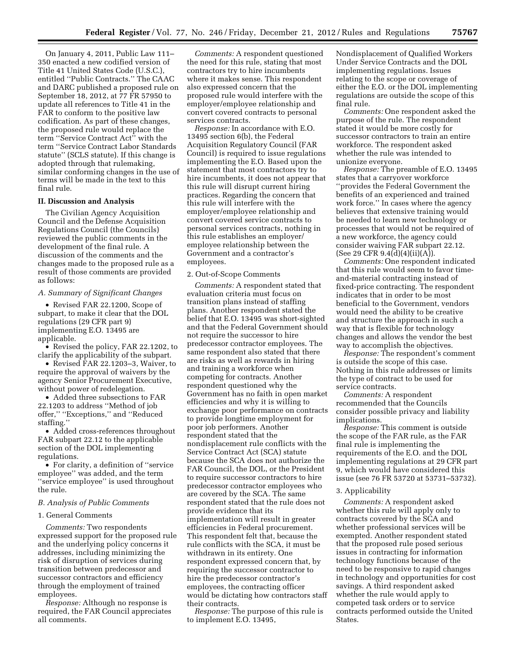On January 4, 2011, Public Law 111– 350 enacted a new codified version of Title 41 United States Code (U.S.C.), entitled "Public Contracts." The CAAC and DARC published a proposed rule on September 18, 2012, at 77 FR 57950 to update all references to Title 41 in the FAR to conform to the positive law codification. As part of these changes, the proposed rule would replace the term ''Service Contract Act'' with the term ''Service Contract Labor Standards statute'' (SCLS statute). If this change is adopted through that rulemaking, similar conforming changes in the use of terms will be made in the text to this final rule.

#### **II. Discussion and Analysis**

The Civilian Agency Acquisition Council and the Defense Acquisition Regulations Council (the Councils) reviewed the public comments in the development of the final rule. A discussion of the comments and the changes made to the proposed rule as a result of those comments are provided as follows:

## *A. Summary of Significant Changes*

• Revised FAR 22.1200, Scope of subpart, to make it clear that the DOL regulations (29 CFR part 9) implementing E.O. 13495 are applicable.

• Revised the policy, FAR 22.1202, to clarify the applicability of the subpart.

• Revised FAR 22.1203–3, Waiver, to require the approval of waivers by the agency Senior Procurement Executive, without power of redelegation.

• Added three subsections to FAR 22.1203 to address ''Method of job offer,'' ''Exceptions,'' and ''Reduced staffing.''

• Added cross-references throughout FAR subpart 22.12 to the applicable section of the DOL implementing regulations.

• For clarity, a definition of ''service employee'' was added, and the term ''service employee'' is used throughout the rule.

# *B. Analysis of Public Comments*

# 1. General Comments

*Comments:* Two respondents expressed support for the proposed rule and the underlying policy concerns it addresses, including minimizing the risk of disruption of services during transition between predecessor and successor contractors and efficiency through the employment of trained employees.

*Response:* Although no response is required, the FAR Council appreciates all comments.

*Comments:* A respondent questioned the need for this rule, stating that most contractors try to hire incumbents where it makes sense. This respondent also expressed concern that the proposed rule would interfere with the employer/employee relationship and convert covered contracts to personal services contracts.

*Response:* In accordance with E.O. 13495 section 6(b), the Federal Acquisition Regulatory Council (FAR Council) is required to issue regulations implementing the E.O. Based upon the statement that most contractors try to hire incumbents, it does not appear that this rule will disrupt current hiring practices. Regarding the concern that this rule will interfere with the employer/employee relationship and convert covered service contracts to personal services contracts, nothing in this rule establishes an employer/ employee relationship between the Government and a contractor's employees.

### 2. Out-of-Scope Comments

*Comments:* A respondent stated that evaluation criteria must focus on transition plans instead of staffing plans. Another respondent stated the belief that E.O. 13495 was short-sighted and that the Federal Government should not require the successor to hire predecessor contractor employees. The same respondent also stated that there are risks as well as rewards in hiring and training a workforce when competing for contracts. Another respondent questioned why the Government has no faith in open market efficiencies and why it is willing to exchange poor performance on contracts to provide longtime employment for poor job performers. Another respondent stated that the nondisplacement rule conflicts with the Service Contract Act (SCA) statute because the SCA does not authorize the FAR Council, the DOL, or the President to require successor contractors to hire predecessor contractor employees who are covered by the SCA. The same respondent stated that the rule does not provide evidence that its implementation will result in greater efficiencies in Federal procurement. This respondent felt that, because the rule conflicts with the SCA, it must be withdrawn in its entirety. One respondent expressed concern that, by requiring the successor contractor to hire the predecessor contractor's employees, the contracting officer would be dictating how contractors staff their contracts.

*Response:* The purpose of this rule is to implement E.O. 13495,

Nondisplacement of Qualified Workers Under Service Contracts and the DOL implementing regulations. Issues relating to the scope or coverage of either the E.O. or the DOL implementing regulations are outside the scope of this final rule.

*Comments:* One respondent asked the purpose of the rule. The respondent stated it would be more costly for successor contractors to train an entire workforce. The respondent asked whether the rule was intended to unionize everyone.

*Response:* The preamble of E.O. 13495 states that a carryover workforce ''provides the Federal Government the benefits of an experienced and trained work force.'' In cases where the agency believes that extensive training would be needed to learn new technology or processes that would not be required of a new workforce, the agency could consider waiving FAR subpart 22.12. (See 29 CFR 9.4(d)(4)(ii)(A)).

*Comments:* One respondent indicated that this rule would seem to favor timeand-material contracting instead of fixed-price contracting. The respondent indicates that in order to be most beneficial to the Government, vendors would need the ability to be creative and structure the approach in such a way that is flexible for technology changes and allows the vendor the best way to accomplish the objectives.

*Response:* The respondent's comment is outside the scope of this case. Nothing in this rule addresses or limits the type of contract to be used for service contracts.

*Comments:* A respondent recommended that the Councils consider possible privacy and liability implications.

*Response:* This comment is outside the scope of the FAR rule, as the FAR final rule is implementing the requirements of the E.O. and the DOL implementing regulations at 29 CFR part 9, which would have considered this issue (see 76 FR 53720 at 53731–53732).

### 3. Applicability

*Comments:* A respondent asked whether this rule will apply only to contracts covered by the SCA and whether professional services will be exempted. Another respondent stated that the proposed rule posed serious issues in contracting for information technology functions because of the need to be responsive to rapid changes in technology and opportunities for cost savings. A third respondent asked whether the rule would apply to competed task orders or to service contracts performed outside the United States.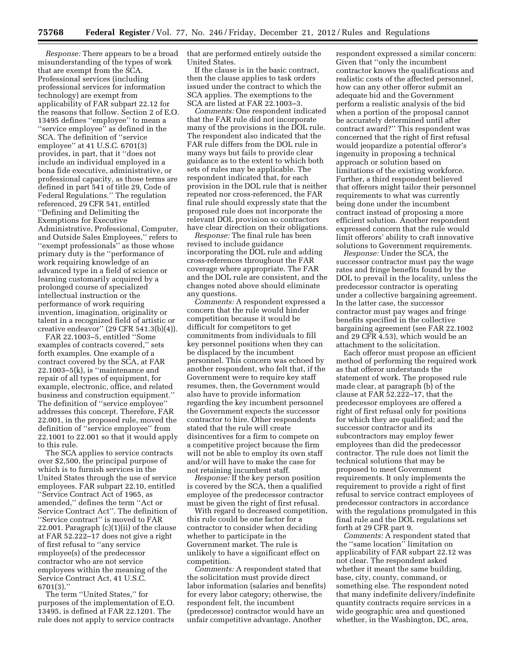*Response:* There appears to be a broad misunderstanding of the types of work that are exempt from the SCA. Professional services (including professional services for information technology) are exempt from applicability of FAR subpart 22.12 for the reasons that follow. Section 2 of E.O. 13495 defines ''employee'' to mean a ''service employee'' as defined in the SCA. The definition of ''service employee'' at 41 U.S.C. 6701(3) provides, in part, that it ''does not include an individual employed in a bona fide executive, administrative, or professional capacity, as those terms are defined in part 541 of title 29, Code of Federal Regulations.'' The regulation referenced, 29 CFR 541, entitled ''Defining and Delimiting the Exemptions for Executive Administrative, Professional, Computer, and Outside Sales Employees,'' refers to ''exempt professionals'' as those whose primary duty is the ''performance of work requiring knowledge of an advanced type in a field of science or learning customarily acquired by a prolonged course of specialized intellectual instruction or the performance of work requiring invention, imagination, originality or talent in a recognized field of artistic or creative endeavor'' (29 CFR 541.3(b)(4)).

FAR 22.1003–5, entitled ''Some examples of contracts covered,'' sets forth examples. One example of a contract covered by the SCA, at FAR 22.1003–5(k), is ''maintenance and repair of all types of equipment, for example, electronic, office, and related business and construction equipment.'' The definition of ''service employee'' addresses this concept. Therefore, FAR 22.001, in the proposed rule, moved the definition of ''service employee'' from 22.1001 to 22.001 so that it would apply to this rule.

The SCA applies to service contracts over \$2,500, the principal purpose of which is to furnish services in the United States through the use of service employees. FAR subpart 22.10, entitled ''Service Contract Act of 1965, as amended,'' defines the term ''Act or Service Contract Act''. The definition of "Service contract" is moved to FAR 22.001. Paragraph (c)(1)(ii) of the clause at FAR 52.222–17 does not give a right of first refusal to ''any service employee(s) of the predecessor contractor who are not service employees within the meaning of the Service Contract Act, 41 U.S.C. 6701(3).''

The term ''United States,'' for purposes of the implementation of E.O. 13495, is defined at FAR 22.1201. The rule does not apply to service contracts that are performed entirely outside the United States.

If the clause is in the basic contract, then the clause applies to task orders issued under the contract to which the SCA applies. The exemptions to the SCA are listed at FAR 22.1003–3.

*Comments:* One respondent indicated that the FAR rule did not incorporate many of the provisions in the DOL rule. The respondent also indicated that the FAR rule differs from the DOL rule in many ways but fails to provide clear guidance as to the extent to which both sets of rules may be applicable. The respondent indicated that, for each provision in the DOL rule that is neither repeated nor cross-referenced, the FAR final rule should expressly state that the proposed rule does not incorporate the relevant DOL provision so contractors have clear direction on their obligations.

*Response:* The final rule has been revised to include guidance incorporating the DOL rule and adding cross-references throughout the FAR coverage where appropriate. The FAR and the DOL rule are consistent, and the changes noted above should eliminate any questions.

*Comments:* A respondent expressed a concern that the rule would hinder competition because it would be difficult for competitors to get commitments from individuals to fill key personnel positions when they can be displaced by the incumbent personnel. This concern was echoed by another respondent, who felt that, if the Government were to require key staff resumes, then, the Government would also have to provide information regarding the key incumbent personnel the Government expects the successor contractor to hire. Other respondents stated that the rule will create disincentives for a firm to compete on a competitive project because the firm will not be able to employ its own staff and/or will have to make the case for not retaining incumbent staff.

*Response:* If the key person position is covered by the SCA, then a qualified employee of the predecessor contractor must be given the right of first refusal.

With regard to decreased competition, this rule could be one factor for a contractor to consider when deciding whether to participate in the Government market. The rule is unlikely to have a significant effect on competition.

*Comments:* A respondent stated that the solicitation must provide direct labor information (salaries and benefits) for every labor category; otherwise, the respondent felt, the incumbent (predecessor) contractor would have an unfair competitive advantage. Another

respondent expressed a similar concern: Given that ''only the incumbent contractor knows the qualifications and realistic costs of the affected personnel, how can any other offeror submit an adequate bid and the Government perform a realistic analysis of the bid when a portion of the proposal cannot be accurately determined until after contract award?'' This respondent was concerned that the right of first refusal would jeopardize a potential offeror's ingenuity in proposing a technical approach or solution based on limitations of the existing workforce. Further, a third respondent believed that offerors might tailor their personnel requirements to what was currently being done under the incumbent contract instead of proposing a more efficient solution. Another respondent expressed concern that the rule would limit offerors' ability to craft innovative solutions to Government requirements.

*Response:* Under the SCA, the successor contractor must pay the wage rates and fringe benefits found by the DOL to prevail in the locality, unless the predecessor contractor is operating under a collective bargaining agreement. In the latter case, the successor contractor must pay wages and fringe benefits specified in the collective bargaining agreement (see FAR 22.1002 and 29 CFR 4.53), which would be an attachment to the solicitation.

Each offeror must propose an efficient method of performing the required work as that offeror understands the statement of work. The proposed rule made clear, at paragraph (b) of the clause at FAR 52.222–17, that the predecessor employees are offered a right of first refusal only for positions for which they are qualified; and the successor contractor and its subcontractors may employ fewer employees than did the predecessor contractor. The rule does not limit the technical solutions that may be proposed to meet Government requirements. It only implements the requirement to provide a right of first refusal to service contract employees of predecessor contractors in accordance with the regulations promulgated in this final rule and the DOL regulations set forth at 29 CFR part 9.

*Comments:* A respondent stated that the ''same location'' limitation on applicability of FAR subpart 22.12 was not clear. The respondent asked whether it meant the same building, base, city, county, command, or something else. The respondent noted that many indefinite delivery/indefinite quantity contracts require services in a wide geographic area and questioned whether, in the Washington, DC, area,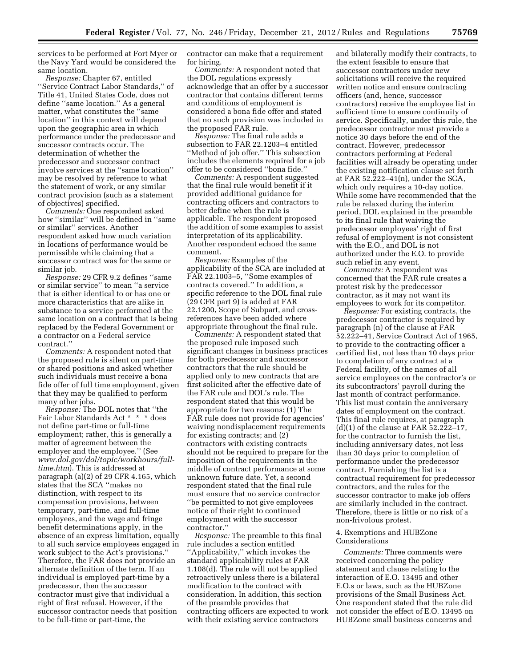services to be performed at Fort Myer or the Navy Yard would be considered the same location.

*Response:* Chapter 67, entitled ''Service Contract Labor Standards,'' of Title 41, United States Code, does not define ''same location.'' As a general matter, what constitutes the ''same location'' in this context will depend upon the geographic area in which performance under the predecessor and successor contracts occur. The determination of whether the predecessor and successor contract involve services at the ''same location'' may be resolved by reference to what the statement of work, or any similar contract provision (such as a statement of objectives) specified.

*Comments:* One respondent asked how ''similar'' will be defined in ''same or similar'' services. Another respondent asked how much variation in locations of performance would be permissible while claiming that a successor contract was for the same or similar job.

*Response:* 29 CFR 9.2 defines ''same or similar service'' to mean ''a service that is either identical to or has one or more characteristics that are alike in substance to a service performed at the same location on a contract that is being replaced by the Federal Government or a contractor on a Federal service contract.''

*Comments:* A respondent noted that the proposed rule is silent on part-time or shared positions and asked whether such individuals must receive a bona fide offer of full time employment, given that they may be qualified to perform many other jobs.

*Response:* The DOL notes that ''the Fair Labor Standards Act \* \* \* does not define part-time or full-time employment; rather, this is generally a matter of agreement between the employer and the employee.'' (See *[www.dol.gov/dol/topic/workhours/full](http://www.dol.gov/dol/topic/workhours/full-time.htm)[time.htm](http://www.dol.gov/dol/topic/workhours/full-time.htm)*). This is addressed at paragraph (a)(2) of 29 CFR 4.165, which states that the SCA ''makes no distinction, with respect to its compensation provisions, between temporary, part-time, and full-time employees, and the wage and fringe benefit determinations apply, in the absence of an express limitation, equally to all such service employees engaged in work subject to the Act's provisions.'' Therefore, the FAR does not provide an alternate definition of the term. If an individual is employed part-time by a predecessor, then the successor contractor must give that individual a right of first refusal. However, if the successor contractor needs that position to be full-time or part-time, the

contractor can make that a requirement for hiring.

*Comments:* A respondent noted that the DOL regulations expressly acknowledge that an offer by a successor contractor that contains different terms and conditions of employment is considered a bona fide offer and stated that no such provision was included in the proposed FAR rule.

*Response:* The final rule adds a subsection to FAR 22.1203–4 entitled ''Method of job offer.'' This subsection includes the elements required for a job offer to be considered ''bona fide.''

*Comments:* A respondent suggested that the final rule would benefit if it provided additional guidance for contracting officers and contractors to better define when the rule is applicable. The respondent proposed the addition of some examples to assist interpretation of its applicability. Another respondent echoed the same comment.

*Response:* Examples of the applicability of the SCA are included at FAR 22.1003–5, ''Some examples of contracts covered.'' In addition, a specific reference to the DOL final rule (29 CFR part 9) is added at FAR 22.1200, Scope of Subpart, and crossreferences have been added where appropriate throughout the final rule.

*Comments:* A respondent stated that the proposed rule imposed such significant changes in business practices for both predecessor and successor contractors that the rule should be applied only to new contracts that are first solicited after the effective date of the FAR rule and DOL's rule. The respondent stated that this would be appropriate for two reasons: (1) The FAR rule does not provide for agencies' waiving nondisplacement requirements for existing contracts; and (2) contractors with existing contracts should not be required to prepare for the imposition of the requirements in the middle of contract performance at some unknown future date. Yet, a second respondent stated that the final rule must ensure that no service contractor ''be permitted to not give employees notice of their right to continued employment with the successor contractor.''

*Response:* The preamble to this final rule includes a section entitled ''Applicability,'' which invokes the standard applicability rules at FAR 1.108(d). The rule will not be applied retroactively unless there is a bilateral modification to the contract with consideration. In addition, this section of the preamble provides that contracting officers are expected to work with their existing service contractors

and bilaterally modify their contracts, to the extent feasible to ensure that successor contractors under new solicitations will receive the required written notice and ensure contracting officers (and, hence, successor contractors) receive the employee list in sufficient time to ensure continuity of service. Specifically, under this rule, the predecessor contractor must provide a notice 30 days before the end of the contract. However, predecessor contractors performing at Federal facilities will already be operating under the existing notification clause set forth at FAR 52.222–41(n), under the SCA, which only requires a 10-day notice. While some have recommended that the rule be relaxed during the interim period, DOL explained in the preamble to its final rule that waiving the predecessor employees' right of first refusal of employment is not consistent with the E.O., and DOL is not authorized under the E.O. to provide such relief in any event.

*Comments:* A respondent was concerned that the FAR rule creates a protest risk by the predecessor contractor, as it may not want its employees to work for its competitor.

*Response:* For existing contracts, the predecessor contractor is required by paragraph (n) of the clause at FAR 52.222–41, Service Contract Act of 1965, to provide to the contracting officer a certified list, not less than 10 days prior to completion of any contract at a Federal facility, of the names of all service employees on the contractor's or its subcontractors' payroll during the last month of contract performance. This list must contain the anniversary dates of employment on the contract. This final rule requires, at paragraph  $(d)(1)$  of the clause at FAR 52.222–17, for the contractor to furnish the list, including anniversary dates, not less than 30 days prior to completion of performance under the predecessor contract. Furnishing the list is a contractual requirement for predecessor contractors, and the rules for the successor contractor to make job offers are similarly included in the contract. Therefore, there is little or no risk of a non-frivolous protest.

# 4. Exemptions and HUBZone Considerations

*Comments:* Three comments were received concerning the policy statement and clause relating to the interaction of E.O. 13495 and other E.O.s or laws, such as the HUBZone provisions of the Small Business Act. One respondent stated that the rule did not consider the effect of E.O. 13495 on HUBZone small business concerns and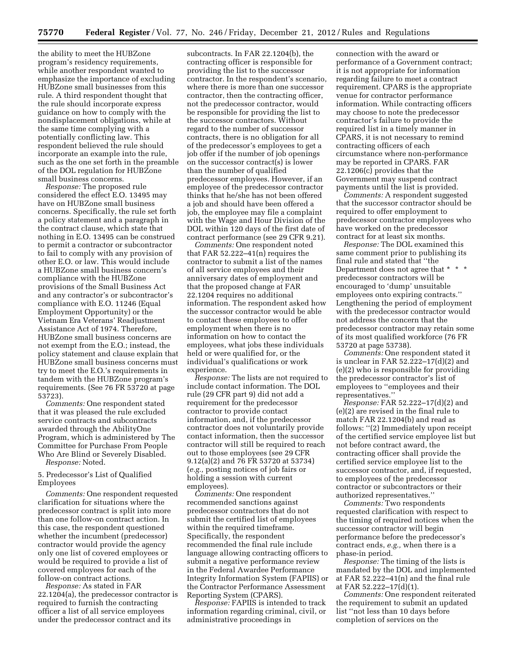the ability to meet the HUBZone program's residency requirements, while another respondent wanted to emphasize the importance of excluding HUBZone small businesses from this rule. A third respondent thought that the rule should incorporate express guidance on how to comply with the nondisplacement obligations, while at the same time complying with a potentially conflicting law. This respondent believed the rule should incorporate an example into the rule, such as the one set forth in the preamble of the DOL regulation for HUBZone small business concerns.

*Response:* The proposed rule considered the effect E.O. 13495 may have on HUBZone small business concerns. Specifically, the rule set forth a policy statement and a paragraph in the contract clause, which state that nothing in E.O. 13495 can be construed to permit a contractor or subcontractor to fail to comply with any provision of other E.O. or law. This would include a HUBZone small business concern's compliance with the HUBZone provisions of the Small Business Act and any contractor's or subcontractor's compliance with E.O. 11246 (Equal Employment Opportunity) or the Vietnam Era Veterans' Readjustment Assistance Act of 1974. Therefore, HUBZone small business concerns are not exempt from the E.O.; instead, the policy statement and clause explain that HUBZone small business concerns must try to meet the E.O.'s requirements in tandem with the HUBZone program's requirements. (See 76 FR 53720 at page 53723).

*Comments:* One respondent stated that it was pleased the rule excluded service contracts and subcontracts awarded through the AbilityOne Program, which is administered by The Committee for Purchase From People Who Are Blind or Severely Disabled. *Response:* Noted.

5. Predecessor's List of Qualified

Employees

*Comments:* One respondent requested clarification for situations where the predecessor contract is split into more than one follow-on contract action. In this case, the respondent questioned whether the incumbent (predecessor) contractor would provide the agency only one list of covered employees or would be required to provide a list of covered employees for each of the follow-on contract actions.

*Response:* As stated in FAR 22.1204(a), the predecessor contractor is required to furnish the contracting officer a list of all service employees under the predecessor contract and its

subcontracts. In FAR 22.1204(b), the contracting officer is responsible for providing the list to the successor contractor. In the respondent's scenario, where there is more than one successor contractor, then the contracting officer, not the predecessor contractor, would be responsible for providing the list to the successor contractors. Without regard to the number of successor contracts, there is no obligation for all of the predecessor's employees to get a job offer if the number of job openings on the successor contract(s) is lower than the number of qualified predecessor employees. However, if an employee of the predecessor contractor thinks that he/she has not been offered a job and should have been offered a job, the employee may file a complaint with the Wage and Hour Division of the DOL within 120 days of the first date of contract performance (see 29 CFR 9.21).

*Comments:* One respondent noted that FAR 52.222–41(n) requires the contractor to submit a list of the names of all service employees and their anniversary dates of employment and that the proposed change at FAR 22.1204 requires no additional information. The respondent asked how the successor contractor would be able to contact these employees to offer employment when there is no information on how to contact the employees, what jobs these individuals held or were qualified for, or the individual's qualifications or work experience.

*Response:* The lists are not required to include contact information. The DOL rule (29 CFR part 9) did not add a requirement for the predecessor contractor to provide contact information, and, if the predecessor contractor does not voluntarily provide contact information, then the successor contractor will still be required to reach out to those employees (see 29 CFR 9.12(a)(2) and 76 FR 53720 at 53734) (*e.g.,* posting notices of job fairs or holding a session with current employees).

*Comments:* One respondent recommended sanctions against predecessor contractors that do not submit the certified list of employees within the required timeframe. Specifically, the respondent recommended the final rule include language allowing contracting officers to submit a negative performance review in the Federal Awardee Performance Integrity Information System (FAPIIS) or the Contractor Performance Assessment Reporting System (CPARS).

*Response:* FAPIIS is intended to track information regarding criminal, civil, or administrative proceedings in

connection with the award or performance of a Government contract; it is not appropriate for information regarding failure to meet a contract requirement. CPARS is the appropriate venue for contractor performance information. While contracting officers may choose to note the predecessor contractor's failure to provide the required list in a timely manner in CPARS, it is not necessary to remind contracting officers of each circumstance where non-performance may be reported in CPARS. FAR 22.1206(c) provides that the Government may suspend contract payments until the list is provided.

*Comments:* A respondent suggested that the successor contractor should be required to offer employment to predecessor contractor employees who have worked on the predecessor contract for at least six months.

*Response:* The DOL examined this same comment prior to publishing its final rule and stated that ''the Department does not agree that \* \* \* predecessor contractors will be encouraged to 'dump' unsuitable employees onto expiring contracts.'' Lengthening the period of employment with the predecessor contractor would not address the concern that the predecessor contractor may retain some of its most qualified workforce (76 FR 53720 at page 53738).

*Comments:* One respondent stated it is unclear in FAR 52.222–17(d)(2) and (e)(2) who is responsible for providing the predecessor contractor's list of employees to ''employees and their representatives.''

*Response:* FAR 52.222–17(d)(2) and (e)(2) are revised in the final rule to match FAR 22.1204(b) and read as follows: ''(2) Immediately upon receipt of the certified service employee list but not before contract award, the contracting officer shall provide the certified service employee list to the successor contractor, and, if requested, to employees of the predecessor contractor or subcontractors or their authorized representatives.''

*Comments:* Two respondents requested clarification with respect to the timing of required notices when the successor contractor will begin performance before the predecessor's contract ends, *e.g.,* when there is a phase-in period.

*Response:* The timing of the lists is mandated by the DOL and implemented at FAR 52.222–41(n) and the final rule at FAR 52.222–17(d)(1).

*Comments:* One respondent reiterated the requirement to submit an updated list ''not less than 10 days before completion of services on the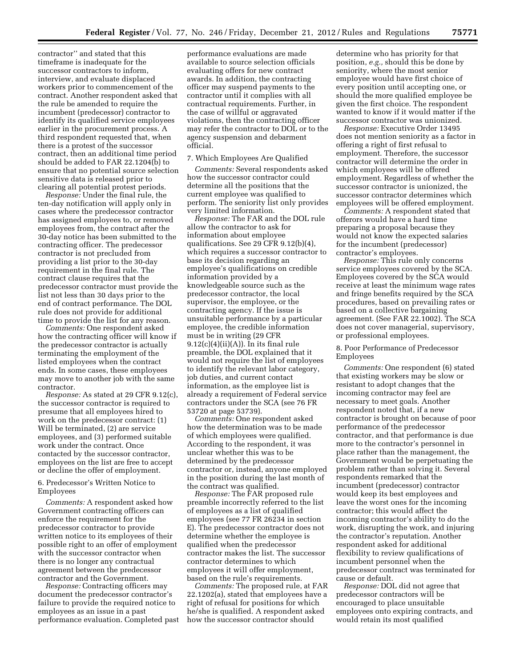contractor'' and stated that this timeframe is inadequate for the successor contractors to inform, interview, and evaluate displaced workers prior to commencement of the contract. Another respondent asked that the rule be amended to require the incumbent (predecessor) contractor to identify its qualified service employees earlier in the procurement process. A third respondent requested that, when there is a protest of the successor contract, then an additional time period should be added to FAR 22.1204(b) to ensure that no potential source selection sensitive data is released prior to clearing all potential protest periods.

*Response:* Under the final rule, the ten-day notification will apply only in cases where the predecessor contractor has assigned employees to, or removed employees from, the contract after the 30-day notice has been submitted to the contracting officer. The predecessor contractor is not precluded from providing a list prior to the 30-day requirement in the final rule. The contract clause requires that the predecessor contractor must provide the list not less than 30 days prior to the end of contract performance. The DOL rule does not provide for additional time to provide the list for any reason.

*Comments:* One respondent asked how the contracting officer will know if the predecessor contractor is actually terminating the employment of the listed employees when the contract ends. In some cases, these employees may move to another job with the same contractor.

*Response:* As stated at 29 CFR 9.12(c), the successor contractor is required to presume that all employees hired to work on the predecessor contract: (1) Will be terminated, (2) are service employees, and (3) performed suitable work under the contract. Once contacted by the successor contractor, employees on the list are free to accept or decline the offer of employment.

## 6. Predecessor's Written Notice to Employees

*Comments:* A respondent asked how Government contracting officers can enforce the requirement for the predecessor contractor to provide written notice to its employees of their possible right to an offer of employment with the successor contractor when there is no longer any contractual agreement between the predecessor contractor and the Government.

*Response:* Contracting officers may document the predecessor contractor's failure to provide the required notice to employees as an issue in a past performance evaluation. Completed past

performance evaluations are made available to source selection officials evaluating offers for new contract awards. In addition, the contracting officer may suspend payments to the contractor until it complies with all contractual requirements. Further, in the case of willful or aggravated violations, then the contracting officer may refer the contractor to DOL or to the agency suspension and debarment official.

## 7. Which Employees Are Qualified

*Comments:* Several respondents asked how the successor contractor could determine all the positions that the current employee was qualified to perform. The seniority list only provides very limited information.

*Response:* The FAR and the DOL rule allow the contractor to ask for information about employee qualifications. See 29 CFR 9.12(b)(4), which requires a successor contractor to base its decision regarding an employee's qualifications on credible information provided by a knowledgeable source such as the predecessor contractor, the local supervisor, the employee, or the contracting agency. If the issue is unsuitable performance by a particular employee, the credible information must be in writing (29 CFR  $9.12(c)(4)(ii)(A)$ . In its final rule preamble, the DOL explained that it would not require the list of employees to identify the relevant labor category, job duties, and current contact information, as the employee list is already a requirement of Federal service contractors under the SCA (see 76 FR 53720 at page 53739).

*Comments:* One respondent asked how the determination was to be made of which employees were qualified. According to the respondent, it was unclear whether this was to be determined by the predecessor contractor or, instead, anyone employed in the position during the last month of the contract was qualified.

*Response:* The FAR proposed rule preamble incorrectly referred to the list of employees as a list of qualified employees (see 77 FR 26234 in section E). The predecessor contractor does not determine whether the employee is qualified when the predecessor contractor makes the list. The successor contractor determines to which employees it will offer employment, based on the rule's requirements.

*Comments:* The proposed rule, at FAR 22.1202(a), stated that employees have a right of refusal for positions for which he/she is qualified. A respondent asked how the successor contractor should

determine who has priority for that position, *e.g.,* should this be done by seniority, where the most senior employee would have first choice of every position until accepting one, or should the more qualified employee be given the first choice. The respondent wanted to know if it would matter if the successor contractor was unionized.

*Response:* Executive Order 13495 does not mention seniority as a factor in offering a right of first refusal to employment. Therefore, the successor contractor will determine the order in which employees will be offered employment. Regardless of whether the successor contractor is unionized, the successor contractor determines which employees will be offered employment.

*Comments:* A respondent stated that offerors would have a hard time preparing a proposal because they would not know the expected salaries for the incumbent (predecessor) contractor's employees.

*Response:* This rule only concerns service employees covered by the SCA. Employees covered by the SCA would receive at least the minimum wage rates and fringe benefits required by the SCA procedures, based on prevailing rates or based on a collective bargaining agreement. (See FAR 22.1002). The SCA does not cover managerial, supervisory, or professional employees.

# 8. Poor Performance of Predecessor Employees

*Comments:* One respondent (6) stated that existing workers may be slow or resistant to adopt changes that the incoming contractor may feel are necessary to meet goals. Another respondent noted that, if a new contractor is brought on because of poor performance of the predecessor contractor, and that performance is due more to the contractor's personnel in place rather than the management, the Government would be perpetuating the problem rather than solving it. Several respondents remarked that the incumbent (predecessor) contractor would keep its best employees and leave the worst ones for the incoming contractor; this would affect the incoming contractor's ability to do the work, disrupting the work, and injuring the contractor's reputation. Another respondent asked for additional flexibility to review qualifications of incumbent personnel when the predecessor contract was terminated for cause or default.

*Response:* DOL did not agree that predecessor contractors will be encouraged to place unsuitable employees onto expiring contracts, and would retain its most qualified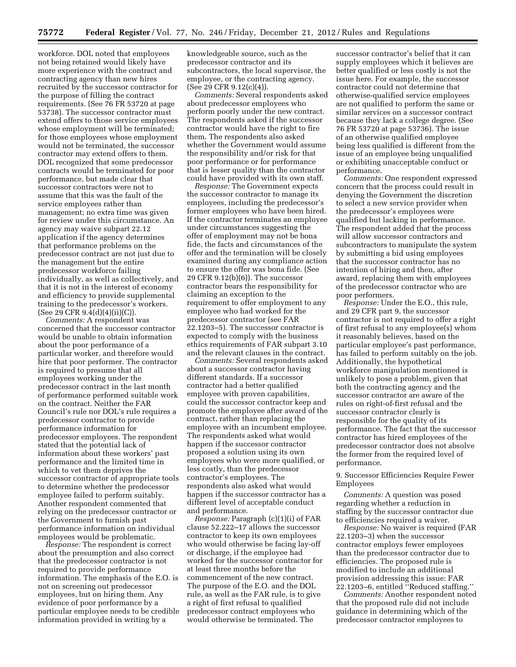workforce. DOL noted that employees not being retained would likely have more experience with the contract and contracting agency than new hires recruited by the successor contractor for the purpose of filling the contract requirements. (See 76 FR 53720 at page 53738). The successor contractor must extend offers to those service employees whose employment will be terminated; for those employees whose employment would not be terminated, the successor contractor may extend offers to them. DOL recognized that some predecessor contracts would be terminated for poor performance, but made clear that successor contractors were not to assume that this was the fault of the service employees rather than management; no extra time was given for review under this circumstance. An agency may waive subpart 22.12 application if the agency determines that performance problems on the predecessor contract are not just due to the management but the entire predecessor workforce failing individually, as well as collectively, and that it is not in the interest of economy and efficiency to provide supplemental training to the predecessor's workers. (See 29 CFR 9.4(d)(4)(ii)(C)).

*Comments:* A respondent was concerned that the successor contractor would be unable to obtain information about the poor performance of a particular worker, and therefore would hire that poor performer. The contractor is required to presume that all employees working under the predecessor contract in the last month of performance performed suitable work on the contract. Neither the FAR Council's rule nor DOL's rule requires a predecessor contractor to provide performance information for predecessor employees. The respondent stated that the potential lack of information about these workers' past performance and the limited time in which to vet them deprives the successor contractor of appropriate tools to determine whether the predecessor employee failed to perform suitably. Another respondent commented that relying on the predecessor contractor or the Government to furnish past performance information on individual employees would be problematic.

*Response:* The respondent is correct about the presumption and also correct that the predecessor contractor is not required to provide performance information. The emphasis of the E.O. is not on screening out predecessor employees, but on hiring them. Any evidence of poor performance by a particular employee needs to be credible information provided in writing by a

knowledgeable source, such as the predecessor contractor and its subcontractors, the local supervisor, the employee, or the contracting agency. (See 29 CFR 9.12(c)(4)).

*Comments:* Several respondents asked about predecessor employees who perform poorly under the new contract. The respondents asked if the successor contractor would have the right to fire them. The respondents also asked whether the Government would assume the responsibility and/or risk for that poor performance or for performance that is lesser quality than the contractor could have provided with its own staff.

*Response:* The Government expects the successor contractor to manage its employees, including the predecessor's former employees who have been hired. If the contractor terminates an employee under circumstances suggesting the offer of employment may not be bona fide, the facts and circumstances of the offer and the termination will be closely examined during any compliance action to ensure the offer was bona fide. (See 29 CFR 9.12(b)(6)). The successor contractor bears the responsibility for claiming an exception to the requirement to offer employment to any employee who had worked for the predecessor contractor (see FAR 22.1203–5). The successor contractor is expected to comply with the business ethics requirements of FAR subpart 3.10 and the relevant clauses in the contract.

*Comments:* Several respondents asked about a successor contractor having different standards. If a successor contractor had a better qualified employee with proven capabilities, could the successor contractor keep and promote the employee after award of the contract, rather than replacing the employee with an incumbent employee. The respondents asked what would happen if the successor contractor proposed a solution using its own employees who were more qualified, or less costly, than the predecessor contractor's employees. The respondents also asked what would happen if the successor contractor has a different level of acceptable conduct and performance.

*Response:* Paragraph (c)(1)(i) of FAR clause 52.222–17 allows the successor contractor to keep its own employees who would otherwise be facing lay-off or discharge, if the employee had worked for the successor contractor for at least three months before the commencement of the new contract. The purpose of the E.O. and the DOL rule, as well as the FAR rule, is to give a right of first refusal to qualified predecessor contract employees who would otherwise be terminated. The

successor contractor's belief that it can supply employees which it believes are better qualified or less costly is not the issue here. For example, the successor contractor could not determine that otherwise-qualified service employees are not qualified to perform the same or similar services on a successor contract because they lack a college degree. (See 76 FR 53720 at page 53736). The issue of an otherwise qualified employee being less qualified is different from the issue of an employee being unqualified or exhibiting unacceptable conduct or performance.

*Comments:* One respondent expressed concern that the process could result in denying the Government the discretion to select a new service provider when the predecessor's employees were qualified but lacking in performance. The respondent added that the process will allow successor contractors and subcontractors to manipulate the system by submitting a bid using employees that the successor contractor has no intention of hiring and then, after award, replacing them with employees of the predecessor contractor who are poor performers.

*Response:* Under the E.O., this rule, and 29 CFR part 9, the successor contractor is not required to offer a right of first refusal to any employee(s) whom it reasonably believes, based on the particular employee's past performance, has failed to perform suitably on the job. Additionally, the hypothetical workforce manipulation mentioned is unlikely to pose a problem, given that both the contracting agency and the successor contractor are aware of the rules on right-of-first refusal and the successor contractor clearly is responsible for the quality of its performance. The fact that the successor contractor has hired employees of the predecessor contractor does not absolve the former from the required level of performance.

9. Successor Efficiencies Require Fewer Employees

*Comments:* A question was posed regarding whether a reduction in staffing by the successor contractor due to efficiencies required a waiver.

*Response:* No waiver is required (FAR 22.1203–3) when the successor contractor employs fewer employees than the predecessor contractor due to efficiencies. The proposed rule is modified to include an additional provision addressing this issue: FAR 22.1203–6, entitled ''Reduced staffing.''

*Comments:* Another respondent noted that the proposed rule did not include guidance in determining which of the predecessor contractor employees to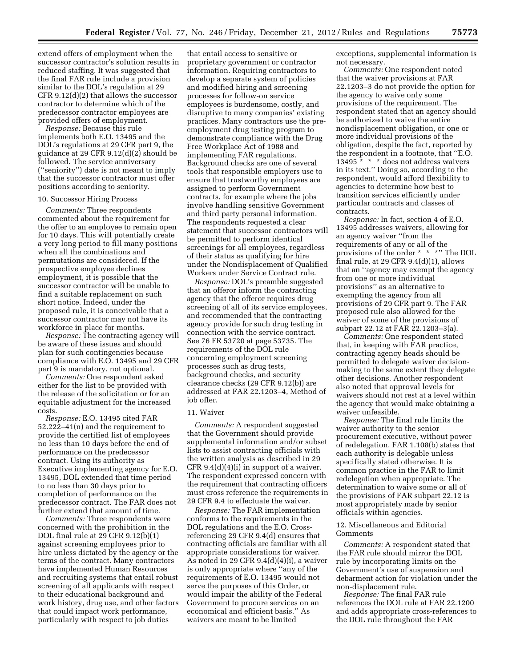extend offers of employment when the successor contractor's solution results in reduced staffing. It was suggested that the final FAR rule include a provision similar to the DOL's regulation at 29 CFR 9.12(d)(2) that allows the successor contractor to determine which of the predecessor contractor employees are provided offers of employment.

*Response:* Because this rule implements both E.O. 13495 and the DOL's regulations at 29 CFR part 9, the guidance at 29 CFR 9.12(d)(2) should be followed. The service anniversary (''seniority'') date is not meant to imply that the successor contractor must offer positions according to seniority.

### 10. Successor Hiring Process

*Comments:* Three respondents commented about the requirement for the offer to an employee to remain open for 10 days. This will potentially create a very long period to fill many positions when all the combinations and permutations are considered. If the prospective employee declines employment, it is possible that the successor contractor will be unable to find a suitable replacement on such short notice. Indeed, under the proposed rule, it is conceivable that a successor contractor may not have its workforce in place for months.

*Response:* The contracting agency will be aware of these issues and should plan for such contingencies because compliance with E.O. 13495 and 29 CFR part 9 is mandatory, not optional.

*Comments:* One respondent asked either for the list to be provided with the release of the solicitation or for an equitable adjustment for the increased costs.

*Response:* E.O. 13495 cited FAR 52.222–41(n) and the requirement to provide the certified list of employees no less than 10 days before the end of performance on the predecessor contract. Using its authority as Executive implementing agency for E.O. 13495, DOL extended that time period to no less than 30 days prior to completion of performance on the predecessor contract. The FAR does not further extend that amount of time.

*Comments:* Three respondents were concerned with the prohibition in the DOL final rule at 29 CFR 9.12(b)(1) against screening employees prior to hire unless dictated by the agency or the terms of the contract. Many contractors have implemented Human Resources and recruiting systems that entail robust screening of all applicants with respect to their educational background and work history, drug use, and other factors that could impact work performance, particularly with respect to job duties

that entail access to sensitive or proprietary government or contractor information. Requiring contractors to develop a separate system of policies and modified hiring and screening processes for follow-on service employees is burdensome, costly, and disruptive to many companies' existing practices. Many contractors use the preemployment drug testing program to demonstrate compliance with the Drug Free Workplace Act of 1988 and implementing FAR regulations. Background checks are one of several tools that responsible employers use to ensure that trustworthy employees are assigned to perform Government contracts, for example where the jobs involve handling sensitive Government and third party personal information. The respondents requested a clear statement that successor contractors will be permitted to perform identical screenings for all employees, regardless of their status as qualifying for hire under the Nondisplacement of Qualified Workers under Service Contract rule.

*Response:* DOL's preamble suggested that an offeror inform the contracting agency that the offeror requires drug screening of all of its service employees, and recommended that the contracting agency provide for such drug testing in connection with the service contract. See 76 FR 53720 at page 53735. The requirements of the DOL rule concerning employment screening processes such as drug tests, background checks, and security clearance checks (29 CFR 9.12(b)) are addressed at FAR 22.1203–4, Method of job offer.

### 11. Waiver

*Comments:* A respondent suggested that the Government should provide supplemental information and/or subset lists to assist contracting officials with the written analysis as described in 29 CFR  $9.4(d)(4)(i)$  in support of a waiver. The respondent expressed concern with the requirement that contracting officers must cross reference the requirements in 29 CFR 9.4 to effectuate the waiver.

*Response:* The FAR implementation conforms to the requirements in the DOL regulations and the E.O. Crossreferencing 29 CFR 9.4(d) ensures that contracting officials are familiar with all appropriate considerations for waiver. As noted in 29 CFR 9.4(d)(4)(i), a waiver is only appropriate where ''any of the requirements of E.O. 13495 would not serve the purposes of this Order, or would impair the ability of the Federal Government to procure services on an economical and efficient basis.'' As waivers are meant to be limited

exceptions, supplemental information is not necessary.

*Comments:* One respondent noted that the waiver provisions at FAR 22.1203–3 do not provide the option for the agency to waive only some provisions of the requirement. The respondent stated that an agency should be authorized to waive the entire nondisplacement obligation, or one or more individual provisions of the obligation, despite the fact, reported by the respondent in a footnote, that ''E.O. 13495 \* \* \* does not address waivers in its text.'' Doing so, according to the respondent, would afford flexibility to agencies to determine how best to transition services efficiently under particular contracts and classes of contracts.

*Response:* In fact, section 4 of E.O. 13495 addresses waivers, allowing for an agency waiver ''from the requirements of any or all of the provisions of the order \* \* \*'' The DOL final rule, at 29 CFR 9.4(d)(1), allows that an ''agency may exempt the agency from one or more individual provisions'' as an alternative to exempting the agency from all provisions of 29 CFR part 9. The FAR proposed rule also allowed for the waiver of some of the provisions of subpart 22.12 at FAR 22.1203–3(a).

*Comments:* One respondent stated that, in keeping with FAR practice, contracting agency heads should be permitted to delegate waiver decisionmaking to the same extent they delegate other decisions. Another respondent also noted that approval levels for waivers should not rest at a level within the agency that would make obtaining a waiver unfeasible.

*Response:* The final rule limits the waiver authority to the senior procurement executive, without power of redelegation. FAR 1.108(b) states that each authority is delegable unless specifically stated otherwise. It is common practice in the FAR to limit redelegation when appropriate. The determination to waive some or all of the provisions of FAR subpart 22.12 is most appropriately made by senior officials within agencies.

# 12. Miscellaneous and Editorial Comments

*Comments:* A respondent stated that the FAR rule should mirror the DOL rule by incorporating limits on the Government's use of suspension and debarment action for violation under the non-displacement rule.

*Response:* The final FAR rule references the DOL rule at FAR 22.1200 and adds appropriate cross-references to the DOL rule throughout the FAR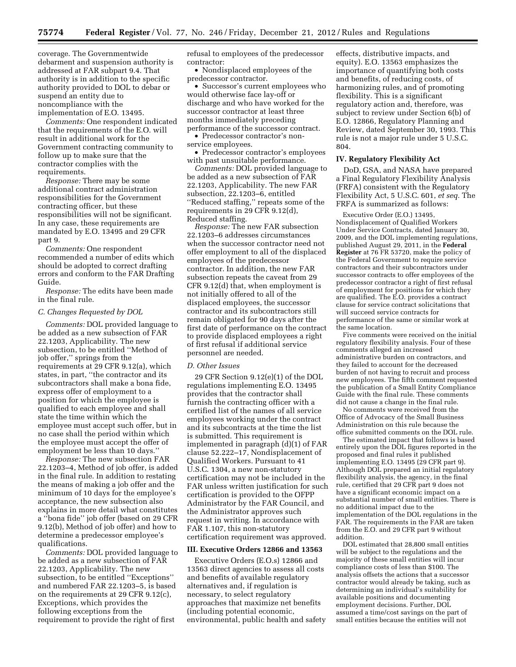coverage. The Governmentwide debarment and suspension authority is addressed at FAR subpart 9.4. That authority is in addition to the specific authority provided to DOL to debar or suspend an entity due to noncompliance with the implementation of E.O. 13495.

*Comments:* One respondent indicated that the requirements of the E.O. will result in additional work for the Government contracting community to follow up to make sure that the contractor complies with the requirements.

*Response:* There may be some additional contract administration responsibilities for the Government contracting officer, but these responsibilities will not be significant. In any case, these requirements are mandated by E.O. 13495 and 29 CFR part 9.

*Comments:* One respondent recommended a number of edits which should be adopted to correct drafting errors and conform to the FAR Drafting Guide.

*Response:* The edits have been made in the final rule.

#### *C. Changes Requested by DOL*

*Comments:* DOL provided language to be added as a new subsection of FAR 22.1203, Applicability. The new subsection, to be entitled ''Method of job offer,'' springs from the requirements at 29 CFR 9.12(a), which states, in part, ''the contractor and its subcontractors shall make a bona fide, express offer of employment to a position for which the employee is qualified to each employee and shall state the time within which the employee must accept such offer, but in no case shall the period within which the employee must accept the offer of employment be less than 10 days.''

*Response:* The new subsection FAR 22.1203–4, Method of job offer, is added in the final rule. In addition to restating the means of making a job offer and the minimum of 10 days for the employee's acceptance, the new subsection also explains in more detail what constitutes a ''bona fide'' job offer (based on 29 CFR 9.12(b), Method of job offer) and how to determine a predecessor employee's qualifications.

*Comments:* DOL provided language to be added as a new subsection of FAR 22.1203, Applicability. The new subsection, to be entitled ''Exceptions'' and numbered FAR 22.1203–5, is based on the requirements at 29 CFR 9.12(c), Exceptions, which provides the following exceptions from the requirement to provide the right of first

refusal to employees of the predecessor contractor:

• Nondisplaced employees of the predecessor contractor.

• Successor's current employees who would otherwise face lay-off or discharge and who have worked for the successor contractor at least three months immediately preceding performance of the successor contract.

• Predecessor contractor's nonservice employees.

• Predecessor contractor's employees with past unsuitable performance.

*Comments:* DOL provided language to be added as a new subsection of FAR 22.1203, Applicability. The new FAR subsection, 22.1203–6, entitled ''Reduced staffing,'' repeats some of the requirements in 29 CFR 9.12(d), Reduced staffing.

*Response:* The new FAR subsection 22.1203–6 addresses circumstances when the successor contractor need not offer employment to all of the displaced employees of the predecessor contractor. In addition, the new FAR subsection repeats the caveat from 29 CFR 9.12(d) that, when employment is not initially offered to all of the displaced employees, the successor contractor and its subcontractors still remain obligated for 90 days after the first date of performance on the contract to provide displaced employees a right of first refusal if additional service personnel are needed.

#### *D. Other Issues*

29 CFR Section 9.12(e)(1) of the DOL regulations implementing E.O. 13495 provides that the contractor shall furnish the contracting officer with a certified list of the names of all service employees working under the contract and its subcontracts at the time the list is submitted. This requirement is implemented in paragraph (d)(1) of FAR clause 52.222–17, Nondisplacement of Qualified Workers. Pursuant to 41 U.S.C. 1304, a new non-statutory certification may not be included in the FAR unless written justification for such certification is provided to the OFPP Administrator by the FAR Council, and the Administrator approves such request in writing. In accordance with FAR 1.107, this non-statutory certification requirement was approved.

# **III. Executive Orders 12866 and 13563**

Executive Orders (E.O.s) 12866 and 13563 direct agencies to assess all costs and benefits of available regulatory alternatives and, if regulation is necessary, to select regulatory approaches that maximize net benefits (including potential economic, environmental, public health and safety effects, distributive impacts, and equity). E.O. 13563 emphasizes the importance of quantifying both costs and benefits, of reducing costs, of harmonizing rules, and of promoting flexibility. This is a significant regulatory action and, therefore, was subject to review under Section 6(b) of E.O. 12866, Regulatory Planning and Review, dated September 30, 1993. This rule is not a major rule under 5 U.S.C. 804.

#### **IV. Regulatory Flexibility Act**

DoD, GSA, and NASA have prepared a Final Regulatory Flexibility Analysis (FRFA) consistent with the Regulatory Flexibility Act, 5 U.S.C. 601, *et seq.* The FRFA is summarized as follows:

Executive Order (E.O.) 13495, Nondisplacement of Qualified Workers Under Service Contracts, dated January 30, 2009, and the DOL implementing regulations, published August 29, 2011, in the **Federal Register** at 76 FR 53720, make the policy of the Federal Government to require service contractors and their subcontractors under successor contracts to offer employees of the predecessor contractor a right of first refusal of employment for positions for which they are qualified. The E.O. provides a contract clause for service contract solicitations that will succeed service contracts for performance of the same or similar work at the same location.

Five comments were received on the initial regulatory flexibility analysis. Four of these comments alleged an increased administrative burden on contractors, and they failed to account for the decreased burden of not having to recruit and process new employees. The fifth comment requested the publication of a Small Entity Compliance Guide with the final rule. These comments did not cause a change in the final rule.

No comments were received from the Office of Advocacy of the Small Business Administration on this rule because the office submitted comments on the DOL rule.

The estimated impact that follows is based entirely upon the DOL figures reported in the proposed and final rules it published implementing E.O. 13495 ( $29$  CFR part 9). Although DOL prepared an initial regulatory flexibility analysis, the agency, in the final rule, certified that 29 CFR part 9 does not have a significant economic impact on a substantial number of small entities. There is no additional impact due to the implementation of the DOL regulations in the FAR. The requirements in the FAR are taken from the E.O. and 29 CFR part 9 without addition.

DOL estimated that 28,800 small entities will be subject to the regulations and the majority of these small entities will incur compliance costs of less than \$100. The analysis offsets the actions that a successor contractor would already be taking, such as determining an individual's suitability for available positions and documenting employment decisions. Further, DOL assumed a time/cost savings on the part of small entities because the entities will not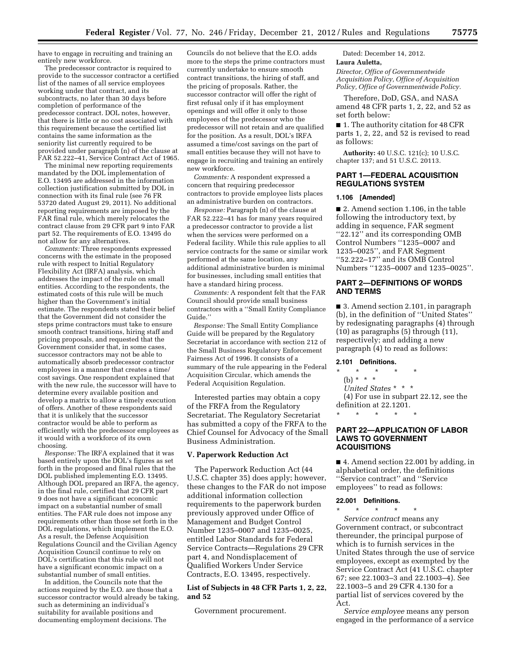have to engage in recruiting and training an entirely new workforce.

The predecessor contractor is required to provide to the successor contractor a certified list of the names of all service employees working under that contract, and its subcontracts, no later than 30 days before completion of performance of the predecessor contract. DOL notes, however, that there is little or no cost associated with this requirement because the certified list contains the same information as the seniority list currently required to be provided under paragraph (n) of the clause at FAR 52.222–41, Service Contract Act of 1965.

The minimal new reporting requirements mandated by the DOL implementation of E.O. 13495 are addressed in the information collection justification submitted by DOL in connection with its final rule (see 76 FR 53720 dated August 29, 2011). No additional reporting requirements are imposed by the FAR final rule, which merely relocates the contract clause from 29 CFR part 9 into FAR part 52. The requirements of E.O. 13495 do not allow for any alternatives.

*Comments:* Three respondents expressed concerns with the estimate in the proposed rule with respect to Initial Regulatory Flexibility Act (IRFA) analysis, which addresses the impact of the rule on small entities. According to the respondents, the estimated costs of this rule will be much higher than the Government's initial estimate. The respondents stated their belief that the Government did not consider the steps prime contractors must take to ensure smooth contract transitions, hiring staff and pricing proposals, and requested that the Government consider that, in some cases, successor contractors may not be able to automatically absorb predecessor contractor employees in a manner that creates a time/ cost savings. One respondent explained that with the new rule, the successor will have to determine every available position and develop a matrix to allow a timely execution of offers. Another of these respondents said that it is unlikely that the successor contractor would be able to perform as efficiently with the predecessor employees as it would with a workforce of its own choosing.

*Response:* The IRFA explained that it was based entirely upon the DOL's figures as set forth in the proposed and final rules that the DOL published implementing E.O. 13495. Although DOL prepared an IRFA, the agency, in the final rule, certified that 29 CFR part 9 does not have a significant economic impact on a substantial number of small entities. The FAR rule does not impose any requirements other than those set forth in the DOL regulations, which implement the E.O. As a result, the Defense Acquisition Regulations Council and the Civilian Agency Acquisition Council continue to rely on DOL's certification that this rule will not have a significant economic impact on a substantial number of small entities.

In addition, the Councils note that the actions required by the E.O. are those that a successor contractor would already be taking, such as determining an individual's suitability for available positions and documenting employment decisions. The

Councils do not believe that the E.O. adds more to the steps the prime contractors must currently undertake to ensure smooth contract transitions, the hiring of staff, and the pricing of proposals. Rather, the successor contractor will offer the right of first refusal only if it has employment openings and will offer it only to those employees of the predecessor who the predecessor will not retain and are qualified for the position. As a result, DOL's IRFA assumed a time/cost savings on the part of small entities because they will not have to engage in recruiting and training an entirely new workforce.

*Comments:* A respondent expressed a concern that requiring predecessor contractors to provide employee lists places an administrative burden on contractors.

*Response:* Paragraph (n) of the clause at FAR 52.222–41 has for many years required a predecessor contractor to provide a list when the services were performed on a Federal facility. While this rule applies to all service contracts for the same or similar work performed at the same location, any additional administrative burden is minimal for businesses, including small entities that have a standard hiring process.

*Comments:* A respondent felt that the FAR Council should provide small business contractors with a ''Small Entity Compliance Guide.''

*Response:* The Small Entity Compliance Guide will be prepared by the Regulatory Secretariat in accordance with section 212 of the Small Business Regulatory Enforcement Fairness Act of 1996. It consists of a summary of the rule appearing in the Federal Acquisition Circular, which amends the Federal Acquisition Regulation.

Interested parties may obtain a copy of the FRFA from the Regulatory Secretariat. The Regulatory Secretariat has submitted a copy of the FRFA to the Chief Counsel for Advocacy of the Small Business Administration.

#### **V. Paperwork Reduction Act**

The Paperwork Reduction Act (44 U.S.C. chapter 35) does apply; however, these changes to the FAR do not impose additional information collection requirements to the paperwork burden previously approved under Office of Management and Budget Control Number 1235–0007 and 1235–0025, entitled Labor Standards for Federal Service Contracts—Regulations 29 CFR part 4, and Nondisplacement of Qualified Workers Under Service Contracts, E.O. 13495, respectively.

**List of Subjects in 48 CFR Parts 1, 2, 22, and 52** 

Government procurement.

Dated: December 14, 2012.

### **Laura Auletta,**

*Director, Office of Governmentwide Acquisition Policy, Office of Acquisition Policy, Office of Governmentwide Policy.* 

Therefore, DoD, GSA, and NASA amend 48 CFR parts 1, 2, 22, and 52 as set forth below:

■ 1. The authority citation for 48 CFR parts 1, 2, 22, and 52 is revised to read as follows:

**Authority:** 40 U.S.C. 121(c); 10 U.S.C. chapter 137; and 51 U.S.C. 20113.

# **PART 1—FEDERAL ACQUISITION REGULATIONS SYSTEM**

### **1.106 [Amended]**

■ 2. Amend section 1.106, in the table following the introductory text, by adding in sequence, FAR segment "22.12" and its corresponding OMB Control Numbers ''1235–0007 and 1235–0025'', and FAR Segment ''52.222–17'' and its OMB Control Numbers ''1235–0007 and 1235–0025''.

# **PART 2—DEFINITIONS OF WORDS AND TERMS**

■ 3. Amend section 2.101, in paragraph (b), in the definition of ''United States'' by redesignating paragraphs (4) through (10) as paragraphs (5) through (11), respectively; and adding a new paragraph (4) to read as follows:

### **2.101 Definitions.**

- \* \* \* \* \*
- (b) \* \* \*
- *United States* \* \* \*
- (4) For use in subpart 22.12, see the definition at 22.1201.
- \* \* \* \* \*

# **PART 22—APPLICATION OF LABOR LAWS TO GOVERNMENT ACQUISITIONS**

■ 4. Amend section 22.001 by adding, in alphabetical order, the definitions ''Service contract'' and ''Service employees'' to read as follows:

# **22.001 Definitions.**

\* \* \* \* \* *Service contract* means any Government contract, or subcontract thereunder, the principal purpose of which is to furnish services in the United States through the use of service employees, except as exempted by the Service Contract Act (41 U.S.C. chapter 67; see 22.1003–3 and 22.1003–4). See 22.1003–5 and 29 CFR 4.130 for a partial list of services covered by the Act.

*Service employee* means any person engaged in the performance of a service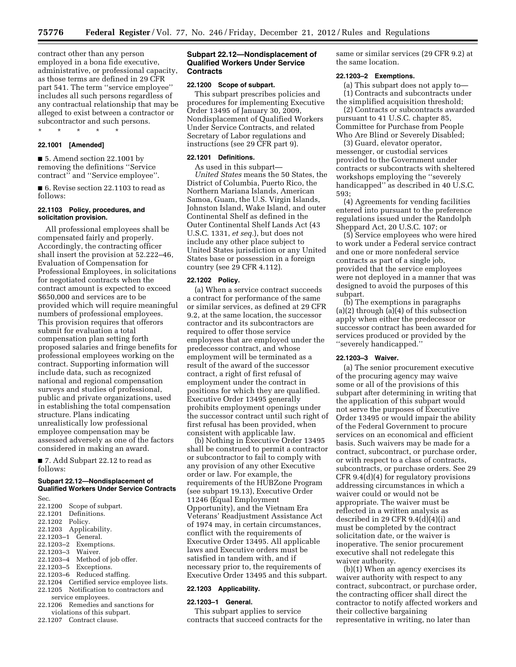contract other than any person employed in a bona fide executive, administrative, or professional capacity, as those terms are defined in 29 CFR part 541. The term ''service employee'' includes all such persons regardless of any contractual relationship that may be alleged to exist between a contractor or subcontractor and such persons.

\* \* \* \* \*

# **22.1001 [Amended]**

■ 5. Amend section 22.1001 by removing the definitions ''Service contract'' and ''Service employee''.

■ 6. Revise section 22.1103 to read as follows:

### **22.1103 Policy, procedures, and solicitation provision.**

All professional employees shall be compensated fairly and properly. Accordingly, the contracting officer shall insert the provision at 52.222–46, Evaluation of Compensation for Professional Employees, in solicitations for negotiated contracts when the contract amount is expected to exceed \$650,000 and services are to be provided which will require meaningful numbers of professional employees. This provision requires that offerors submit for evaluation a total compensation plan setting forth proposed salaries and fringe benefits for professional employees working on the contract. Supporting information will include data, such as recognized national and regional compensation surveys and studies of professional, public and private organizations, used in establishing the total compensation structure. Plans indicating unrealistically low professional employee compensation may be assessed adversely as one of the factors considered in making an award.

■ 7. Add Subpart 22.12 to read as follows:

# **Subpart 22.12—Nondisplacement of Qualified Workers Under Service Contracts**

- Sec.
- 22.1200 Scope of subpart. 22.1201 Definitions. 22.1202 Policy. 22.1203 Applicability. 22.1203–1 General. 22.1203-2 Exemptions.<br>22.1203-3 Waiver. 22.1203–3<br>22.1203–4 Method of job offer. 22.1203–5 Exceptions. 22.1203–6 Reduced staffing. 22.1204 Certified service employee lists. 22.1205 Notification to contractors and service employees.
- 22.1206 Remedies and sanctions for violations of this subpart.
- 22.1207 Contract clause.

### **Subpart 22.12—Nondisplacement of Qualified Workers Under Service Contracts**

## **22.1200 Scope of subpart.**

This subpart prescribes policies and procedures for implementing Executive Order 13495 of January 30, 2009, Nondisplacement of Qualified Workers Under Service Contracts, and related Secretary of Labor regulations and instructions (see 29 CFR part 9).

### **22.1201 Definitions.**

As used in this subpart— *United States* means the 50 States, the District of Columbia, Puerto Rico, the Northern Mariana Islands, American Samoa, Guam, the U.S. Virgin Islands, Johnston Island, Wake Island, and outer Continental Shelf as defined in the Outer Continental Shelf Lands Act (43 U.S.C. 1331, *et seq.*), but does not include any other place subject to United States jurisdiction or any United States base or possession in a foreign country (see 29 CFR 4.112).

## **22.1202 Policy.**

(a) When a service contract succeeds a contract for performance of the same or similar services, as defined at 29 CFR 9.2, at the same location, the successor contractor and its subcontractors are required to offer those service employees that are employed under the predecessor contract, and whose employment will be terminated as a result of the award of the successor contract, a right of first refusal of employment under the contract in positions for which they are qualified. Executive Order 13495 generally prohibits employment openings under the successor contract until such right of first refusal has been provided, when consistent with applicable law.

(b) Nothing in Executive Order 13495 shall be construed to permit a contractor or subcontractor to fail to comply with any provision of any other Executive order or law. For example, the requirements of the HUBZone Program (see subpart 19.13), Executive Order 11246 (Equal Employment Opportunity), and the Vietnam Era Veterans' Readjustment Assistance Act of 1974 may, in certain circumstances, conflict with the requirements of Executive Order 13495. All applicable laws and Executive orders must be satisfied in tandem with, and if necessary prior to, the requirements of Executive Order 13495 and this subpart.

### **22.1203 Applicability.**

#### **22.1203–1 General.**

This subpart applies to service contracts that succeed contracts for the same or similar services (29 CFR 9.2) at the same location.

# **22.1203–2 Exemptions.**

(a) This subpart does not apply to— (1) Contracts and subcontracts under the simplified acquisition threshold;

(2) Contracts or subcontracts awarded pursuant to 41 U.S.C. chapter 85, Committee for Purchase from People Who Are Blind or Severely Disabled;

(3) Guard, elevator operator, messenger, or custodial services provided to the Government under contracts or subcontracts with sheltered workshops employing the ''severely handicapped'' as described in 40 U.S.C. 593;

(4) Agreements for vending facilities entered into pursuant to the preference regulations issued under the Randolph Sheppard Act, 20 U.S.C. 107; or

(5) Service employees who were hired to work under a Federal service contract and one or more nonfederal service contracts as part of a single job, provided that the service employees were not deployed in a manner that was designed to avoid the purposes of this subpart.

(b) The exemptions in paragraphs (a)(2) through (a)(4) of this subsection apply when either the predecessor or successor contract has been awarded for services produced or provided by the ''severely handicapped.''

# **22.1203–3 Waiver.**

(a) The senior procurement executive of the procuring agency may waive some or all of the provisions of this subpart after determining in writing that the application of this subpart would not serve the purposes of Executive Order 13495 or would impair the ability of the Federal Government to procure services on an economical and efficient basis. Such waivers may be made for a contract, subcontract, or purchase order, or with respect to a class of contracts, subcontracts, or purchase orders. See 29 CFR 9.4(d)(4) for regulatory provisions addressing circumstances in which a waiver could or would not be appropriate. The waiver must be reflected in a written analysis as described in 29 CFR 9.4(d)(4)(i) and must be completed by the contract solicitation date, or the waiver is inoperative. The senior procurement executive shall not redelegate this waiver authority.

(b)(1) When an agency exercises its waiver authority with respect to any contract, subcontract, or purchase order, the contracting officer shall direct the contractor to notify affected workers and their collective bargaining representative in writing, no later than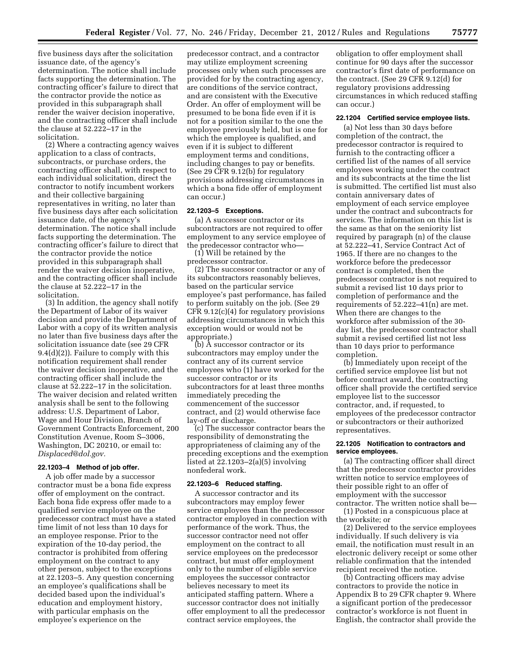five business days after the solicitation issuance date, of the agency's determination. The notice shall include facts supporting the determination. The contracting officer's failure to direct that the contractor provide the notice as provided in this subparagraph shall render the waiver decision inoperative, and the contracting officer shall include the clause at  $52.222 - 17$  in the solicitation.

(2) Where a contracting agency waives application to a class of contracts, subcontracts, or purchase orders, the contracting officer shall, with respect to each individual solicitation, direct the contractor to notify incumbent workers and their collective bargaining representatives in writing, no later than five business days after each solicitation issuance date, of the agency's determination. The notice shall include facts supporting the determination. The contracting officer's failure to direct that the contractor provide the notice provided in this subparagraph shall render the waiver decision inoperative, and the contracting officer shall include the clause at  $52.222 - 17$  in the solicitation.

(3) In addition, the agency shall notify the Department of Labor of its waiver decision and provide the Department of Labor with a copy of its written analysis no later than five business days after the solicitation issuance date (see 29 CFR 9.4(d)(2)). Failure to comply with this notification requirement shall render the waiver decision inoperative, and the contracting officer shall include the clause at 52.222–17 in the solicitation. The waiver decision and related written analysis shall be sent to the following address: U.S. Department of Labor, Wage and Hour Division, Branch of Government Contracts Enforcement, 200 Constitution Avenue, Room S–3006, Washington, DC 20210, or email to: *[Displaced@dol.gov.](mailto:Displaced@dol.gov)* 

# **22.1203–4 Method of job offer.**

A job offer made by a successor contractor must be a bona fide express offer of employment on the contract. Each bona fide express offer made to a qualified service employee on the predecessor contract must have a stated time limit of not less than 10 days for an employee response. Prior to the expiration of the 10-day period, the contractor is prohibited from offering employment on the contract to any other person, subject to the exceptions at 22.1203–5. Any question concerning an employee's qualifications shall be decided based upon the individual's education and employment history, with particular emphasis on the employee's experience on the

predecessor contract, and a contractor may utilize employment screening processes only when such processes are provided for by the contracting agency, are conditions of the service contract, and are consistent with the Executive Order. An offer of employment will be presumed to be bona fide even if it is not for a position similar to the one the employee previously held, but is one for which the employee is qualified, and even if it is subject to different employment terms and conditions, including changes to pay or benefits. (See 29 CFR 9.12(b) for regulatory provisions addressing circumstances in which a bona fide offer of employment can occur.)

#### **22.1203–5 Exceptions.**

(a) A successor contractor or its subcontractors are not required to offer employment to any service employee of the predecessor contractor who—

(1) Will be retained by the predecessor contractor.

(2) The successor contractor or any of its subcontractors reasonably believes, based on the particular service employee's past performance, has failed to perform suitably on the job. (See 29 CFR 9.12(c)(4) for regulatory provisions addressing circumstances in which this exception would or would not be appropriate.)

(b) A successor contractor or its subcontractors may employ under the contract any of its current service employees who (1) have worked for the successor contractor or its subcontractors for at least three months immediately preceding the commencement of the successor contract, and (2) would otherwise face lay-off or discharge.

(c) The successor contractor bears the responsibility of demonstrating the appropriateness of claiming any of the preceding exceptions and the exemption listed at 22.1203–2(a)(5) involving nonfederal work.

#### **22.1203–6 Reduced staffing.**

A successor contractor and its subcontractors may employ fewer service employees than the predecessor contractor employed in connection with performance of the work. Thus, the successor contractor need not offer employment on the contract to all service employees on the predecessor contract, but must offer employment only to the number of eligible service employees the successor contractor believes necessary to meet its anticipated staffing pattern. Where a successor contractor does not initially offer employment to all the predecessor contract service employees, the

obligation to offer employment shall continue for 90 days after the successor contractor's first date of performance on the contract. (See 29 CFR 9.12(d) for regulatory provisions addressing circumstances in which reduced staffing can occur.)

#### **22.1204 Certified service employee lists.**

(a) Not less than 30 days before completion of the contract, the predecessor contractor is required to furnish to the contracting officer a certified list of the names of all service employees working under the contract and its subcontracts at the time the list is submitted. The certified list must also contain anniversary dates of employment of each service employee under the contract and subcontracts for services. The information on this list is the same as that on the seniority list required by paragraph (n) of the clause at 52.222–41, Service Contract Act of 1965. If there are no changes to the workforce before the predecessor contract is completed, then the predecessor contractor is not required to submit a revised list 10 days prior to completion of performance and the requirements of 52.222–41(n) are met. When there are changes to the workforce after submission of the 30 day list, the predecessor contractor shall submit a revised certified list not less than 10 days prior to performance completion.

(b) Immediately upon receipt of the certified service employee list but not before contract award, the contracting officer shall provide the certified service employee list to the successor contractor, and, if requested, to employees of the predecessor contractor or subcontractors or their authorized representatives.

### **22.1205 Notification to contractors and service employees.**

(a) The contracting officer shall direct that the predecessor contractor provides written notice to service employees of their possible right to an offer of employment with the successor contractor. The written notice shall be—

(1) Posted in a conspicuous place at the worksite; or

(2) Delivered to the service employees individually. If such delivery is via email, the notification must result in an electronic delivery receipt or some other reliable confirmation that the intended recipient received the notice.

(b) Contracting officers may advise contractors to provide the notice in Appendix B to 29 CFR chapter 9. Where a significant portion of the predecessor contractor's workforce is not fluent in English, the contractor shall provide the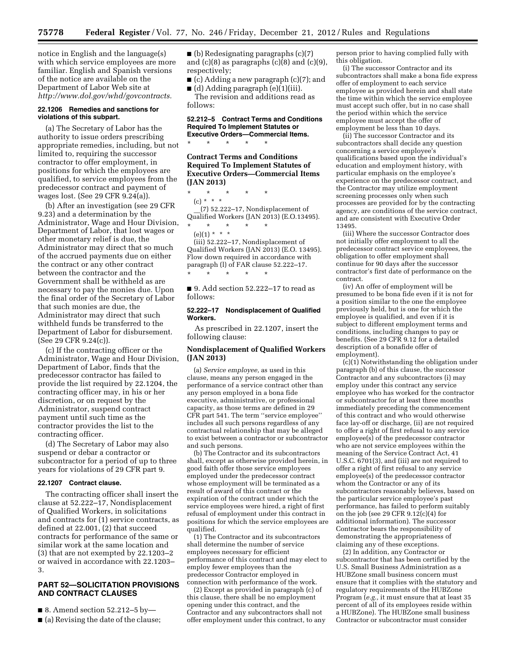notice in English and the language(s) with which service employees are more familiar. English and Spanish versions of the notice are available on the Department of Labor Web site at *[http://www.dol.gov/whd/govcontracts.](http://www.dol.gov/whd/govcontracts)* 

### **22.1206 Remedies and sanctions for violations of this subpart.**

(a) The Secretary of Labor has the authority to issue orders prescribing appropriate remedies, including, but not limited to, requiring the successor contractor to offer employment, in positions for which the employees are qualified, to service employees from the predecessor contract and payment of wages lost. (See 29 CFR 9.24(a)).

(b) After an investigation (see 29 CFR 9.23) and a determination by the Administrator, Wage and Hour Division, Department of Labor, that lost wages or other monetary relief is due, the Administrator may direct that so much of the accrued payments due on either the contract or any other contract between the contractor and the Government shall be withheld as are necessary to pay the monies due. Upon the final order of the Secretary of Labor that such monies are due, the Administrator may direct that such withheld funds be transferred to the Department of Labor for disbursement. (See 29 CFR 9.24(c)).

(c) If the contracting officer or the Administrator, Wage and Hour Division, Department of Labor, finds that the predecessor contractor has failed to provide the list required by 22.1204, the contracting officer may, in his or her discretion, or on request by the Administrator, suspend contract payment until such time as the contractor provides the list to the contracting officer.

(d) The Secretary of Labor may also suspend or debar a contractor or subcontractor for a period of up to three years for violations of 29 CFR part 9.

# **22.1207 Contract clause.**

The contracting officer shall insert the clause at 52.222–17, Nondisplacement of Qualified Workers, in solicitations and contracts for (1) service contracts, as defined at 22.001, (2) that succeed contracts for performance of the same or similar work at the same location and (3) that are not exempted by 22.1203–2 or waived in accordance with 22.1203– 3.

# **PART 52—SOLICITATION PROVISIONS AND CONTRACT CLAUSES**

- 8. Amend section 52.212–5 by—
- (a) Revising the date of the clause;

■ (b) Redesignating paragraphs (c)(7) and  $(c)(8)$  as paragraphs  $(c)(8)$  and  $(c)(9)$ , respectively;

■ (c) Adding a new paragraph (c)(7); and ■ (d) Adding paragraph (e)(1)(iii).

The revision and additions read as follows:

**52.212–5 Contract Terms and Conditions Required To Implement Statutes or Executive Orders—Commercial Items.**  \* \* \* \* \*

**Contract Terms and Conditions Required To Implement Statutes of Executive Orders—Commercial Items (JAN 2013)** 

\* \* \* \* \* (c) \* \* \* \_\_(7) 52.222–17, Nondisplacement of

Qualified Workers (JAN 2013) (E.O.13495). \* \* \* \* \*

 $(e)(1) * * * *$ 

(iii) 52.222–17, Nondisplacement of Qualified Workers (JAN 2013) (E.O. 13495). Flow down required in accordance with paragraph (l) of FAR clause 52.222–17. \* \* \* \* \*

■ 9. Add section 52.222–17 to read as follows:

### **52.222–17 Nondisplacement of Qualified Workers.**

As prescribed in 22.1207, insert the following clause:

# **Nondisplacement of Qualified Workers (JAN 2013)**

(a) *Service employee,* as used in this clause, means any person engaged in the performance of a service contract other than any person employed in a bona fide executive, administrative, or professional capacity, as those terms are defined in 29 CFR part 541. The term ''service employee'' includes all such persons regardless of any contractual relationship that may be alleged to exist between a contractor or subcontractor and such persons.

(b) The Contractor and its subcontractors shall, except as otherwise provided herein, in good faith offer those service employees employed under the predecessor contract whose employment will be terminated as a result of award of this contract or the expiration of the contract under which the service employees were hired, a right of first refusal of employment under this contract in positions for which the service employees are qualified.

(1) The Contractor and its subcontractors shall determine the number of service employees necessary for efficient performance of this contract and may elect to employ fewer employees than the predecessor Contractor employed in connection with performance of the work.

(2) Except as provided in paragraph (c) of this clause, there shall be no employment opening under this contract, and the Contractor and any subcontractors shall not offer employment under this contract, to any person prior to having complied fully with this obligation.

(i) The successor Contractor and its subcontractors shall make a bona fide express offer of employment to each service employee as provided herein and shall state the time within which the service employee must accept such offer, but in no case shall the period within which the service employee must accept the offer of employment be less than 10 days.

(ii) The successor Contractor and its subcontractors shall decide any question concerning a service employee's qualifications based upon the individual's education and employment history, with particular emphasis on the employee's experience on the predecessor contract, and the Contractor may utilize employment screening processes only when such processes are provided for by the contracting agency, are conditions of the service contract, and are consistent with Executive Order 13495.

(iii) Where the successor Contractor does not initially offer employment to all the predecessor contract service employees, the obligation to offer employment shall continue for 90 days after the successor contractor's first date of performance on the contract.

(iv) An offer of employment will be presumed to be bona fide even if it is not for a position similar to the one the employee previously held, but is one for which the employee is qualified, and even if it is subject to different employment terms and conditions, including changes to pay or benefits. (See 29 CFR 9.12 for a detailed description of a bonafide offer of employment).

 $(c)(1)$  Notwithstanding the obligation under paragraph (b) of this clause, the successor Contractor and any subcontractors (i) may employ under this contract any service employee who has worked for the contractor or subcontractor for at least three months immediately preceding the commencement of this contract and who would otherwise face lay-off or discharge, (ii) are not required to offer a right of first refusal to any service employee(s) of the predecessor contractor who are not service employees within the meaning of the Service Contract Act, 41 U.S.C. 6701(3), and (iii) are not required to offer a right of first refusal to any service employee(s) of the predecessor contractor whom the Contractor or any of its subcontractors reasonably believes, based on the particular service employee's past performance, has failed to perform suitably on the job (see 29 CFR  $9.12(c)(4)$  for additional information). The successor Contractor bears the responsibility of demonstrating the appropriateness of claiming any of these exceptions.

(2) In addition, any Contractor or subcontractor that has been certified by the U.S. Small Business Administration as a HUBZone small business concern must ensure that it complies with the statutory and regulatory requirements of the HUBZone Program (*e.g.,* it must ensure that at least 35 percent of all of its employees reside within a HUBZone). The HUBZone small business Contractor or subcontractor must consider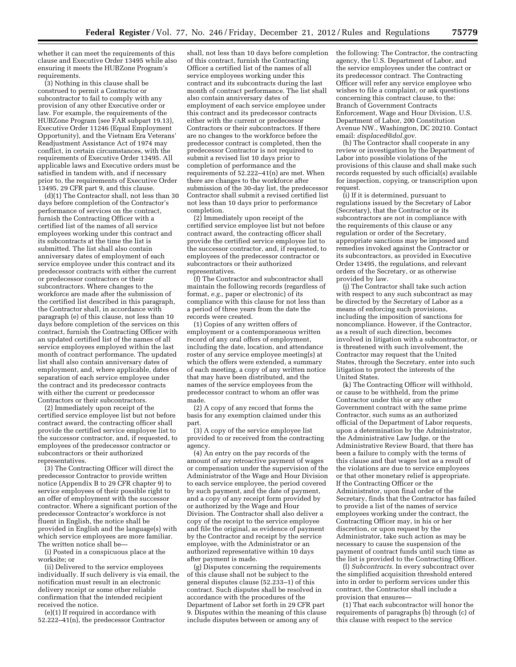whether it can meet the requirements of this clause and Executive Order 13495 while also ensuring it meets the HUBZone Program's requirements.

(3) Nothing in this clause shall be construed to permit a Contractor or subcontractor to fail to comply with any provision of any other Executive order or law. For example, the requirements of the HUBZone Program (see FAR subpart 19.13), Executive Order 11246 (Equal Employment Opportunity), and the Vietnam Era Veterans' Readjustment Assistance Act of 1974 may conflict, in certain circumstances, with the requirements of Executive Order 13495. All applicable laws and Executive orders must be satisfied in tandem with, and if necessary prior to, the requirements of Executive Order 13495, 29 CFR part 9, and this clause.

(d)(1) The Contractor shall, not less than 30 days before completion of the Contractor's performance of services on the contract, furnish the Contracting Officer with a certified list of the names of all service employees working under this contract and its subcontracts at the time the list is submitted. The list shall also contain anniversary dates of employment of each service employee under this contract and its predecessor contracts with either the current or predecessor contractors or their subcontractors. Where changes to the workforce are made after the submission of the certified list described in this paragraph, the Contractor shall, in accordance with paragraph (e) of this clause, not less than 10 days before completion of the services on this contract, furnish the Contracting Officer with an updated certified list of the names of all service employees employed within the last month of contract performance. The updated list shall also contain anniversary dates of employment, and, where applicable, dates of separation of each service employee under the contract and its predecessor contracts with either the current or predecessor Contractors or their subcontractors.

(2) Immediately upon receipt of the certified service employee list but not before contract award, the contracting officer shall provide the certified service employee list to the successor contractor, and, if requested, to employees of the predecessor contractor or subcontractors or their authorized representatives.

(3) The Contracting Officer will direct the predecessor Contractor to provide written notice (Appendix B to 29 CFR chapter 9) to service employees of their possible right to an offer of employment with the successor contractor. Where a significant portion of the predecessor Contractor's workforce is not fluent in English, the notice shall be provided in English and the language(s) with which service employees are more familiar. The written notice shall be—

(i) Posted in a conspicuous place at the worksite; or

(ii) Delivered to the service employees individually. If such delivery is via email, the notification must result in an electronic delivery receipt or some other reliable confirmation that the intended recipient received the notice.

(e)(1) If required in accordance with 52.222–41(n), the predecessor Contractor

shall, not less than 10 days before completion of this contract, furnish the Contracting Officer a certified list of the names of all service employees working under this contract and its subcontracts during the last month of contract performance. The list shall also contain anniversary dates of employment of each service employee under this contract and its predecessor contracts either with the current or predecessor Contractors or their subcontractors. If there are no changes to the workforce before the predecessor contract is completed, then the predecessor Contractor is not required to submit a revised list 10 days prior to completion of performance and the requirements of 52.222–41(n) are met. When there are changes to the workforce after submission of the 30-day list, the predecessor Contractor shall submit a revised certified list not less than 10 days prior to performance completion.

(2) Immediately upon receipt of the certified service employee list but not before contract award, the contracting officer shall provide the certified service employee list to the successor contractor, and, if requested, to employees of the predecessor contractor or subcontractors or their authorized representatives.

(f) The Contractor and subcontractor shall maintain the following records (regardless of format, *e.g.,* paper or electronic) of its compliance with this clause for not less than a period of three years from the date the records were created.

(1) Copies of any written offers of employment or a contemporaneous written record of any oral offers of employment, including the date, location, and attendance roster of any service employee meeting(s) at which the offers were extended, a summary of each meeting, a copy of any written notice that may have been distributed, and the names of the service employees from the predecessor contract to whom an offer was made.

(2) A copy of any record that forms the basis for any exemption claimed under this part.

(3) A copy of the service employee list provided to or received from the contracting agency.

(4) An entry on the pay records of the amount of any retroactive payment of wages or compensation under the supervision of the Administrator of the Wage and Hour Division to each service employee, the period covered by such payment, and the date of payment, and a copy of any receipt form provided by or authorized by the Wage and Hour Division. The Contractor shall also deliver a copy of the receipt to the service employee and file the original, as evidence of payment by the Contractor and receipt by the service employee, with the Administrator or an authorized representative within 10 days after payment is made.

(g) Disputes concerning the requirements of this clause shall not be subject to the general disputes clause (52.233–1) of this contract. Such disputes shall be resolved in accordance with the procedures of the Department of Labor set forth in 29 CFR part 9. Disputes within the meaning of this clause include disputes between or among any of

the following: The Contractor, the contracting agency, the U.S. Department of Labor, and the service employees under the contract or its predecessor contract. The Contracting Officer will refer any service employee who wishes to file a complaint, or ask questions concerning this contract clause, to the: Branch of Government Contracts Enforcement, Wage and Hour Division, U.S. Department of Labor, 200 Constitution Avenue NW., Washington, DC 20210. Contact email: *[displaced@dol.gov.](mailto:displaced@dol.gov)* 

(h) The Contractor shall cooperate in any review or investigation by the Department of Labor into possible violations of the provisions of this clause and shall make such records requested by such official(s) available for inspection, copying, or transcription upon request.

(i) If it is determined, pursuant to regulations issued by the Secretary of Labor (Secretary), that the Contractor or its subcontractors are not in compliance with the requirements of this clause or any regulation or order of the Secretary, appropriate sanctions may be imposed and remedies invoked against the Contractor or its subcontractors, as provided in Executive Order 13495, the regulations, and relevant orders of the Secretary, or as otherwise provided by law.

(j) The Contractor shall take such action with respect to any such subcontract as may be directed by the Secretary of Labor as a means of enforcing such provisions, including the imposition of sanctions for noncompliance. However, if the Contractor, as a result of such direction, becomes involved in litigation with a subcontractor, or is threatened with such involvement, the Contractor may request that the United States, through the Secretary, enter into such litigation to protect the interests of the United States.

(k) The Contracting Officer will withhold, or cause to be withheld, from the prime Contractor under this or any other Government contract with the same prime Contractor, such sums as an authorized official of the Department of Labor requests, upon a determination by the Administrator, the Administrative Law Judge, or the Administrative Review Board, that there has been a failure to comply with the terms of this clause and that wages lost as a result of the violations are due to service employees or that other monetary relief is appropriate. If the Contracting Officer or the Administrator, upon final order of the Secretary, finds that the Contractor has failed to provide a list of the names of service employees working under the contract, the Contracting Officer may, in his or her discretion, or upon request by the Administrator, take such action as may be necessary to cause the suspension of the payment of contract funds until such time as the list is provided to the Contracting Officer.

(l) *Subcontracts.* In every subcontract over the simplified acquisition threshold entered into in order to perform services under this contract, the Contractor shall include a provision that ensures—

(1) That each subcontractor will honor the requirements of paragraphs (b) through (c) of this clause with respect to the service